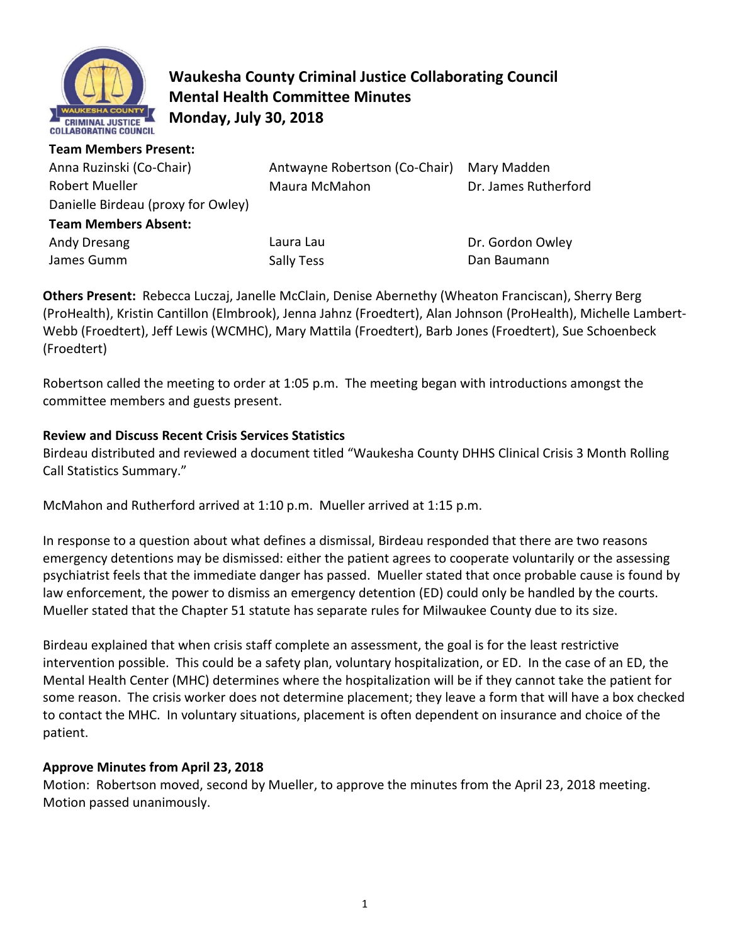

# **Waukesha County Criminal Justice Collaborating Council Mental Health Committee Minutes Monday, July 30, 2018**

#### **Team Members Present:**

| Anna Ruzinski (Co-Chair)<br><b>Robert Mueller</b><br>Danielle Birdeau (proxy for Owley)<br><b>Team Members Absent:</b> | Antwayne Robertson (Co-Chair)<br>Maura McMahon | Mary Madden<br>Dr. James Rutherford |
|------------------------------------------------------------------------------------------------------------------------|------------------------------------------------|-------------------------------------|
| Andy Dresang                                                                                                           | Laura Lau                                      | Dr. Gordon Owley                    |
| James Gumm                                                                                                             | Sally Tess                                     | Dan Baumann                         |

**Others Present:** Rebecca Luczaj, Janelle McClain, Denise Abernethy (Wheaton Franciscan), Sherry Berg (ProHealth), Kristin Cantillon (Elmbrook), Jenna Jahnz (Froedtert), Alan Johnson (ProHealth), Michelle Lambert-Webb (Froedtert), Jeff Lewis (WCMHC), Mary Mattila (Froedtert), Barb Jones (Froedtert), Sue Schoenbeck (Froedtert)

Robertson called the meeting to order at 1:05 p.m. The meeting began with introductions amongst the committee members and guests present.

## **Review and Discuss Recent Crisis Services Statistics**

Birdeau distributed and reviewed a document titled "Waukesha County DHHS Clinical Crisis 3 Month Rolling Call Statistics Summary."

McMahon and Rutherford arrived at 1:10 p.m. Mueller arrived at 1:15 p.m.

In response to a question about what defines a dismissal, Birdeau responded that there are two reasons emergency detentions may be dismissed: either the patient agrees to cooperate voluntarily or the assessing psychiatrist feels that the immediate danger has passed. Mueller stated that once probable cause is found by law enforcement, the power to dismiss an emergency detention (ED) could only be handled by the courts. Mueller stated that the Chapter 51 statute has separate rules for Milwaukee County due to its size.

Birdeau explained that when crisis staff complete an assessment, the goal is for the least restrictive intervention possible. This could be a safety plan, voluntary hospitalization, or ED. In the case of an ED, the Mental Health Center (MHC) determines where the hospitalization will be if they cannot take the patient for some reason. The crisis worker does not determine placement; they leave a form that will have a box checked to contact the MHC. In voluntary situations, placement is often dependent on insurance and choice of the patient.

# **Approve Minutes from April 23, 2018**

Motion: Robertson moved, second by Mueller, to approve the minutes from the April 23, 2018 meeting. Motion passed unanimously.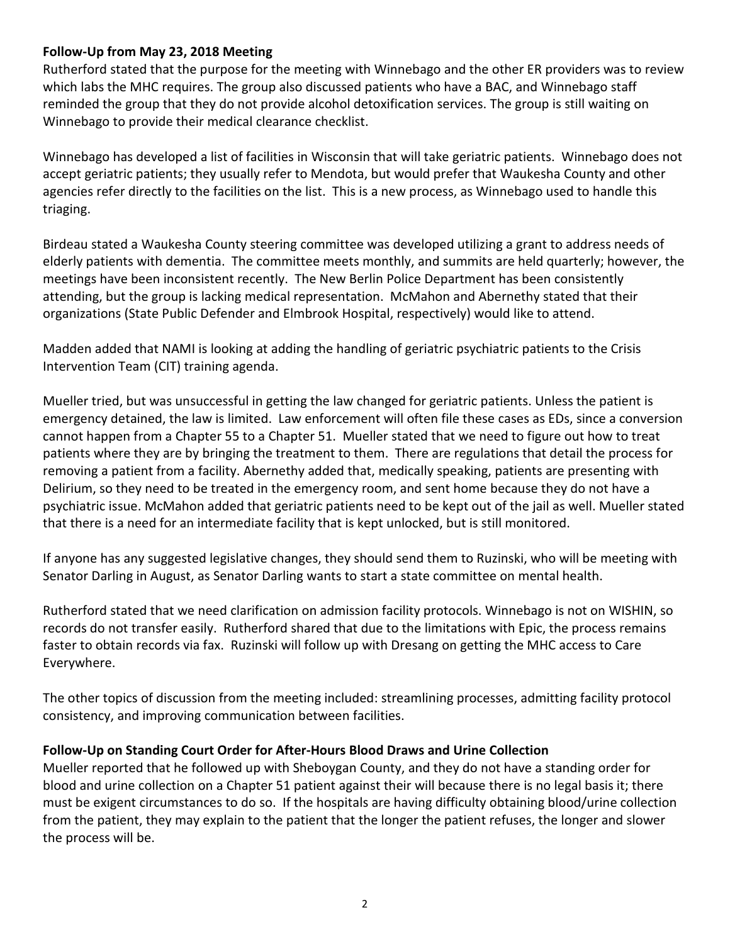## **Follow-Up from May 23, 2018 Meeting**

Rutherford stated that the purpose for the meeting with Winnebago and the other ER providers was to review which labs the MHC requires. The group also discussed patients who have a BAC, and Winnebago staff reminded the group that they do not provide alcohol detoxification services. The group is still waiting on Winnebago to provide their medical clearance checklist.

Winnebago has developed a list of facilities in Wisconsin that will take geriatric patients. Winnebago does not accept geriatric patients; they usually refer to Mendota, but would prefer that Waukesha County and other agencies refer directly to the facilities on the list. This is a new process, as Winnebago used to handle this triaging.

Birdeau stated a Waukesha County steering committee was developed utilizing a grant to address needs of elderly patients with dementia. The committee meets monthly, and summits are held quarterly; however, the meetings have been inconsistent recently. The New Berlin Police Department has been consistently attending, but the group is lacking medical representation. McMahon and Abernethy stated that their organizations (State Public Defender and Elmbrook Hospital, respectively) would like to attend.

Madden added that NAMI is looking at adding the handling of geriatric psychiatric patients to the Crisis Intervention Team (CIT) training agenda.

Mueller tried, but was unsuccessful in getting the law changed for geriatric patients. Unless the patient is emergency detained, the law is limited. Law enforcement will often file these cases as EDs, since a conversion cannot happen from a Chapter 55 to a Chapter 51. Mueller stated that we need to figure out how to treat patients where they are by bringing the treatment to them. There are regulations that detail the process for removing a patient from a facility. Abernethy added that, medically speaking, patients are presenting with Delirium, so they need to be treated in the emergency room, and sent home because they do not have a psychiatric issue. McMahon added that geriatric patients need to be kept out of the jail as well. Mueller stated that there is a need for an intermediate facility that is kept unlocked, but is still monitored.

If anyone has any suggested legislative changes, they should send them to Ruzinski, who will be meeting with Senator Darling in August, as Senator Darling wants to start a state committee on mental health.

Rutherford stated that we need clarification on admission facility protocols. Winnebago is not on WISHIN, so records do not transfer easily. Rutherford shared that due to the limitations with Epic, the process remains faster to obtain records via fax. Ruzinski will follow up with Dresang on getting the MHC access to Care Everywhere.

The other topics of discussion from the meeting included: streamlining processes, admitting facility protocol consistency, and improving communication between facilities.

#### **Follow-Up on Standing Court Order for After-Hours Blood Draws and Urine Collection**

Mueller reported that he followed up with Sheboygan County, and they do not have a standing order for blood and urine collection on a Chapter 51 patient against their will because there is no legal basis it; there must be exigent circumstances to do so. If the hospitals are having difficulty obtaining blood/urine collection from the patient, they may explain to the patient that the longer the patient refuses, the longer and slower the process will be.